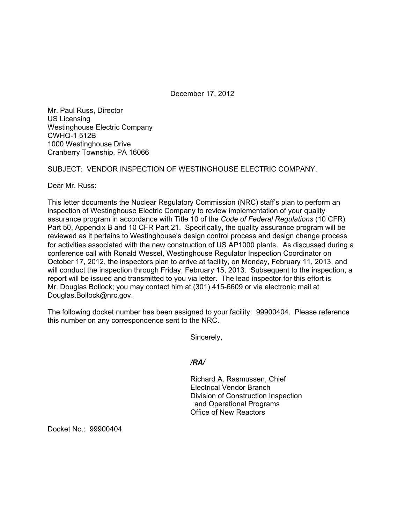December 17, 2012

Mr. Paul Russ, Director US Licensing Westinghouse Electric Company CWHQ-1 512B 1000 Westinghouse Drive Cranberry Township, PA 16066

## SUBJECT: VENDOR INSPECTION OF WESTINGHOUSE ELECTRIC COMPANY.

Dear Mr. Russ:

This letter documents the Nuclear Regulatory Commission (NRC) staff's plan to perform an inspection of Westinghouse Electric Company to review implementation of your quality assurance program in accordance with Title 10 of the *Code of Federal Regulations* (10 CFR) Part 50, Appendix B and 10 CFR Part 21. Specifically, the quality assurance program will be reviewed as it pertains to Westinghouse's design control process and design change process for activities associated with the new construction of US AP1000 plants. As discussed during a conference call with Ronald Wessel, Westinghouse Regulator Inspection Coordinator on October 17, 2012, the inspectors plan to arrive at facility, on Monday, February 11, 2013, and will conduct the inspection through Friday, February 15, 2013. Subsequent to the inspection, a report will be issued and transmitted to you via letter. The lead inspector for this effort is Mr. Douglas Bollock; you may contact him at (301) 415-6609 or via electronic mail at Douglas.Bollock@nrc.gov.

The following docket number has been assigned to your facility: 99900404. Please reference this number on any correspondence sent to the NRC.

Sincerely,

*/RA/* 

Richard A. Rasmussen, Chief Electrical Vendor Branch Division of Construction Inspection and Operational Programs Office of New Reactors

Docket No.: 99900404